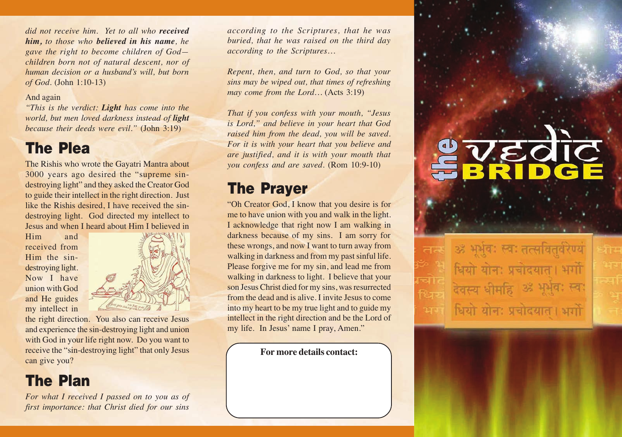*did not receive him. Yet to all who received him, to those who believed in his name, he gave the right to become children of God children born not of natural descent, nor of human decision or a husband's will, but born of God.* (John 1:10-13)

#### And again

*"This is the verdict: Light has come into the world, but men loved darkness instead of light because their deeds were evil."* (John 3:19)

#### **The Plea**

The Rishis who wrote the Gayatri Mantra about 3000 years ago desired the "supreme sindestroying light" and they asked the Creator God to guide their intellect in the right direction. Just like the Rishis desired, I have received the sindestroying light. God directed my intellect to Jesus and when I heard about Him I believed in

Him and received from Him the sindestroying light. Now I have union with God and He guides my intellect in



the right direction. You also can receive Jesus and experience the sin-destroying light and union with God in your life right now. Do you want to receive the "sin-destroying light" that only Jesus can give you?

# **The Plan**

*For what I received I passed on to you as of first importance: that Christ died for our sins*

*according to the Scriptures, that he was buried, that he was raised on the third day according to the Scriptures…*

*Repent, then, and turn to God, so that your sins may be wiped out, that times of refreshing may come from the Lord…* (Acts 3:19)

*That if you confess with your mouth, "Jesus is Lord," and believe in your heart that God raised him from the dead, you will be saved. For it is with your heart that you believe and are justified, and it is with your mouth that you confess and are saved.* (Rom 10:9-10)

**EQIC**<br>SIDGE

भर्भवः स्वः तत्सवितवेरेण्य

धियो योन: पचोदयात । भगो

थियो योन: प्रचोदयात । भर्गो

देवस्य धीमहि

R

## **The Prayer**

"Oh Creator God, I know that you desire is for me to have union with you and walk in the light. I acknowledge that right now I am walking in darkness because of my sins. I am sorry for these wrongs, and now I want to turn away from walking in darkness and from my past sinful life. Please forgive me for my sin, and lead me from walking in darkness to light. I believe that your son Jesus Christ died for my sins, was resurrected from the dead and is alive. I invite Jesus to come into my heart to be my true light and to guide my intellect in the right direction and be the Lord of my life. In Jesus' name I pray, Amen."

**For more details contact:**